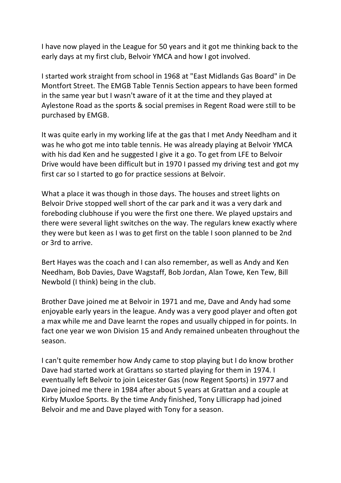I have now played in the League for 50 years and it got me thinking back to the early days at my first club, Belvoir YMCA and how I got involved.

I started work straight from school in 1968 at "East Midlands Gas Board" in De Montfort Street. The EMGB Table Tennis Section appears to have been formed in the same year but I wasn't aware of it at the time and they played at Aylestone Road as the sports & social premises in Regent Road were still to be purchased by EMGB.

It was quite early in my working life at the gas that I met Andy Needham and it was he who got me into table tennis. He was already playing at Belvoir YMCA with his dad Ken and he suggested I give it a go. To get from LFE to Belvoir Drive would have been difficult but in 1970 I passed my driving test and got my first car so I started to go for practice sessions at Belvoir.

What a place it was though in those days. The houses and street lights on Belvoir Drive stopped well short of the car park and it was a very dark and foreboding clubhouse if you were the first one there. We played upstairs and there were several light switches on the way. The regulars knew exactly where they were but keen as I was to get first on the table I soon planned to be 2nd or 3rd to arrive.

Bert Hayes was the coach and I can also remember, as well as Andy and Ken Needham, Bob Davies, Dave Wagstaff, Bob Jordan, Alan Towe, Ken Tew, Bill Newbold (I think) being in the club.

Brother Dave joined me at Belvoir in 1971 and me, Dave and Andy had some enjoyable early years in the league. Andy was a very good player and often got a max while me and Dave learnt the ropes and usually chipped in for points. In fact one year we won Division 15 and Andy remained unbeaten throughout the season.

I can't quite remember how Andy came to stop playing but I do know brother Dave had started work at Grattans so started playing for them in 1974. I eventually left Belvoir to join Leicester Gas (now Regent Sports) in 1977 and Dave joined me there in 1984 after about 5 years at Grattan and a couple at Kirby Muxloe Sports. By the time Andy finished, Tony Lillicrapp had joined Belvoir and me and Dave played with Tony for a season.